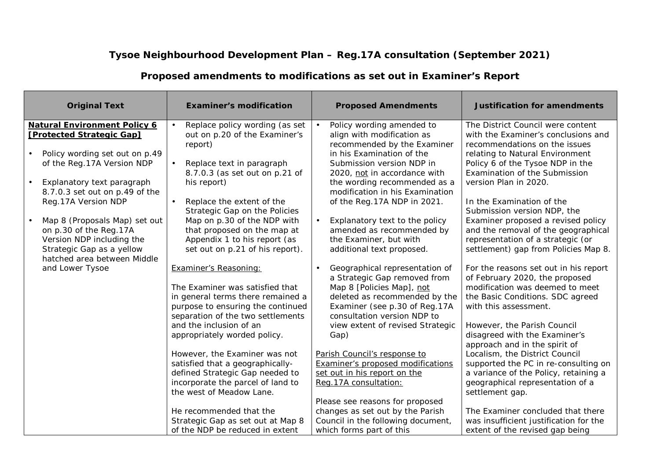## **Tysoe Neighbourhood Development Plan – Reg.17A consultation (September 2021)**

| <b>Original Text</b>                                                                                                                                                                                                                                                                                                                                                         | <b>Examiner's modification</b>                                                                                                                                                                                                                                                                                                                                                  | <b>Proposed Amendments</b>                                                                                                                                                                                                                                                                                                                                                                                | <b>Justification for amendments</b>                                                                                                                                                                                                                                                                                                                                                                                                                              |
|------------------------------------------------------------------------------------------------------------------------------------------------------------------------------------------------------------------------------------------------------------------------------------------------------------------------------------------------------------------------------|---------------------------------------------------------------------------------------------------------------------------------------------------------------------------------------------------------------------------------------------------------------------------------------------------------------------------------------------------------------------------------|-----------------------------------------------------------------------------------------------------------------------------------------------------------------------------------------------------------------------------------------------------------------------------------------------------------------------------------------------------------------------------------------------------------|------------------------------------------------------------------------------------------------------------------------------------------------------------------------------------------------------------------------------------------------------------------------------------------------------------------------------------------------------------------------------------------------------------------------------------------------------------------|
| <b>Natural Environment Policy 6</b><br>[Protected Strategic Gap]<br>Policy wording set out on p.49<br>of the Reg. 17A Version NDP<br>Explanatory text paragraph<br>8.7.0.3 set out on p.49 of the<br>Reg.17A Version NDP<br>Map 8 (Proposals Map) set out<br>on p.30 of the Reg.17A<br>Version NDP including the<br>Strategic Gap as a yellow<br>hatched area between Middle | Replace policy wording (as set<br>out on p.20 of the Examiner's<br>report)<br>Replace text in paragraph<br>8.7.0.3 (as set out on p.21 of<br>his report)<br>Replace the extent of the<br>Strategic Gap on the Policies<br>Map on p.30 of the NDP with<br>that proposed on the map at<br>Appendix 1 to his report (as<br>set out on p.21 of his report).                         | Policy wording amended to<br>align with modification as<br>recommended by the Examiner<br>in his Examination of the<br>Submission version NDP in<br>2020, not in accordance with<br>the wording recommended as a<br>modification in his Examination<br>of the Reg. 17A NDP in 2021.<br>Explanatory text to the policy<br>amended as recommended by<br>the Examiner, but with<br>additional text proposed. | The District Council were content<br>with the Examiner's conclusions and<br>recommendations on the issues<br>relating to Natural Environment<br>Policy 6 of the Tysoe NDP in the<br>Examination of the Submission<br>version Plan in 2020.<br>In the Examination of the<br>Submission version NDP, the<br>Examiner proposed a revised policy<br>and the removal of the geographical<br>representation of a strategic (or<br>settlement) gap from Policies Map 8. |
| and Lower Tysoe                                                                                                                                                                                                                                                                                                                                                              | Examiner's Reasoning:<br>The Examiner was satisfied that<br>in general terms there remained a<br>purpose to ensuring the continued<br>separation of the two settlements<br>and the inclusion of an<br>appropriately worded policy.<br>However, the Examiner was not<br>satisfied that a geographically-<br>defined Strategic Gap needed to<br>incorporate the parcel of land to | Geographical representation of<br>a Strategic Gap removed from<br>Map 8 [Policies Map], not<br>deleted as recommended by the<br>Examiner (see p.30 of Reg.17A<br>consultation version NDP to<br>view extent of revised Strategic<br>Gap)<br>Parish Council's response to<br><b>Examiner's proposed modifications</b><br>set out in his report on the<br>Reg. 17A consultation:                            | For the reasons set out in his report<br>of February 2020, the proposed<br>modification was deemed to meet<br>the Basic Conditions. SDC agreed<br>with this assessment.<br>However, the Parish Council<br>disagreed with the Examiner's<br>approach and in the spirit of<br>Localism, the District Council<br>supported the PC in re-consulting on<br>a variance of the Policy, retaining a<br>geographical representation of a                                  |
|                                                                                                                                                                                                                                                                                                                                                                              | the west of Meadow Lane.<br>He recommended that the<br>Strategic Gap as set out at Map 8<br>of the NDP be reduced in extent                                                                                                                                                                                                                                                     | Please see reasons for proposed<br>changes as set out by the Parish<br>Council in the following document,<br>which forms part of this                                                                                                                                                                                                                                                                     | settlement gap.<br>The Examiner concluded that there<br>was insufficient justification for the<br>extent of the revised gap being                                                                                                                                                                                                                                                                                                                                |

## **Proposed amendments to modifications as set out in Examiner's Report**